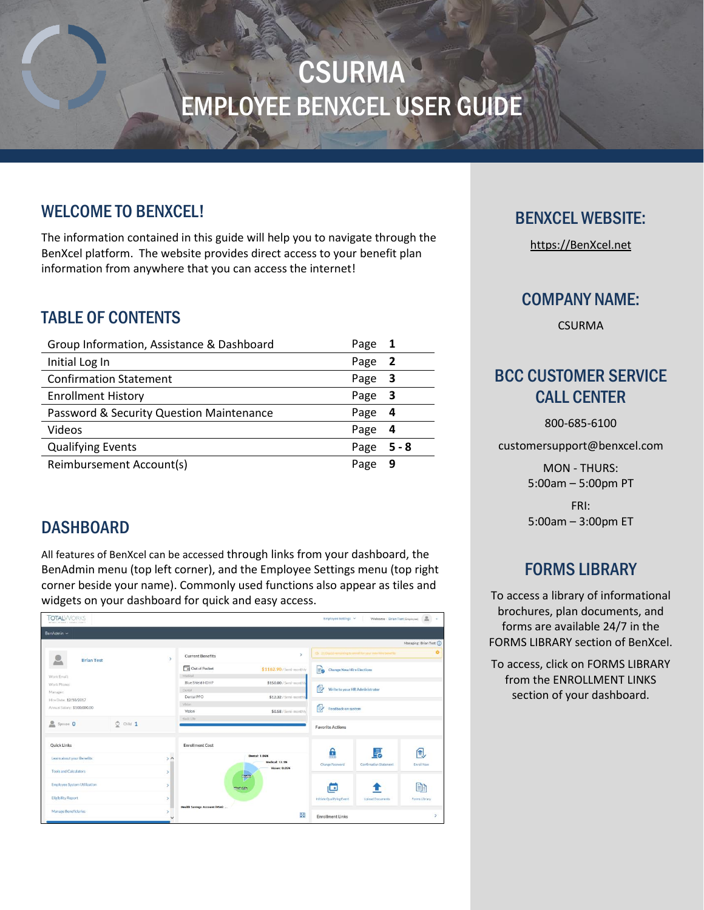# **CSURMA** EMPLOYEE BENXCEL USER GUIDE

## WELCOME TO BENXCEL!

The information contained in this guide will help you to navigate through the BenXcel platform. The website provides direct access to your benefit plan information from anywhere that you can access the internet!

## TABLE OF CONTENTS

| Group Information, Assistance & Dashboard | Page | 1     |
|-------------------------------------------|------|-------|
| Initial Log In                            | Page | -2    |
| <b>Confirmation Statement</b>             | Page | -3    |
| <b>Enrollment History</b>                 | Page | -3    |
| Password & Security Question Maintenance  | Page | 4     |
| Videos                                    | Page | 4     |
| <b>Qualifying Events</b>                  | Page | 5 - 8 |
| Reimbursement Account(s)                  | Page | 9     |

## **DASHBOARD**

All features of BenXcel can be accessed through links from your dashboard, the BenAdmin menu (top left corner), and the Employee Settings menu (top right corner beside your name). Commonly used functions also appear as tiles and widgets on your dashboard for quick and easy access.

| <b>TOTAL</b> WORKS<br>when I is health rebuilt in the |               |               |                                       |                                        | Employee Settings                      | Welcome - Brian Test (Engloyee)                            | 2.1                    |
|-------------------------------------------------------|---------------|---------------|---------------------------------------|----------------------------------------|----------------------------------------|------------------------------------------------------------|------------------------|
| BenAdmin ~                                            |               |               |                                       |                                        |                                        |                                                            |                        |
|                                                       |               |               |                                       |                                        |                                        |                                                            | Managing: Brian Test ( |
| <b>Brian Test</b>                                     |               | $\rightarrow$ | <b>Current Benefits</b>               | $\mathbf{y}$                           |                                        | (5 21 Days) remaining to enroll for your new hire benefits |                        |
|                                                       |               |               | Out of Pocket<br>Medical              | \$1162.90/Semi-monthly                 | <b>Change New Hire Elections</b><br>Eo |                                                            |                        |
| Work Email:<br>Work Phone:                            |               |               | Blue Shield HDHP                      | \$150,00 / Semi-monthly                |                                        |                                                            |                        |
| Manager:                                              |               |               | Derital<br>Dental PPO                 | \$12.32 / Semi-monthly                 | ₿<br>Write to your HR Administrator    |                                                            |                        |
| Hire Date: 12/18/2017                                 |               |               | Velon                                 |                                        |                                        |                                                            |                        |
| Annual Salary: \$100,000.00                           |               |               | Vision                                | \$0.58/Semi-monthly                    | 傊<br>Feedback on system                |                                                            |                        |
| $S_{\text{pouso}}$ 0                                  | $Q$ Child $1$ |               | <b>Itanic Lite</b>                    |                                        | <b>Favorite Actions</b>                |                                                            |                        |
|                                                       |               |               |                                       |                                        |                                        |                                                            |                        |
| <b>Quick Links</b>                                    |               |               | <b>Enrollment Cost</b>                |                                        |                                        |                                                            |                        |
| Learn about your Benefits                             |               | $\lambda$     |                                       | <b>Dental: 1.06%</b><br>Medical: 12.9% | Ê<br>Change Password                   | 昆<br>Confirmation Statement                                | 伺<br><b>Enroll Now</b> |
| <b>Tools and Calculators</b>                          |               | $\mathbf{r}$  |                                       | <b>Vision: 0.05%</b><br><b>Monith</b>  |                                        |                                                            |                        |
| <b>Employee System Utilization</b>                    |               | s             | mediatele                             |                                        | œ                                      |                                                            | B                      |
| <b>Eligibility Report</b>                             |               | $\rightarrow$ |                                       |                                        | Initiate Qualifying Event              | <b>Upload Documents</b>                                    | Forms Library          |
| <b>Manage Beneficiaries</b>                           |               | 5             | <b>Health Savings Account (HSA): </b> | 33                                     | <b>Enrollment Links</b>                |                                                            | $\mathbf{y}$           |

## BENXCEL WEBSITE:

[https://BenXcel.net](https://benxcel.net/)

## COMPANY NAME:

CSURMA

## BCC CUSTOMER SERVICE CALL CENTER

800-685-6100

customersupport@benxcel.com

MON - THURS: 5:00am – 5:00pm PT

FRI: 5:00am – 3:00pm ET

## FORMS LIBRARY

To access a library of informational brochures, plan documents, and forms are available 24/7 in the FORMS LIBRARY section of BenXcel.

To access, click on FORMS LIBRARY from the ENROLLMENT LINKS section of your dashboard.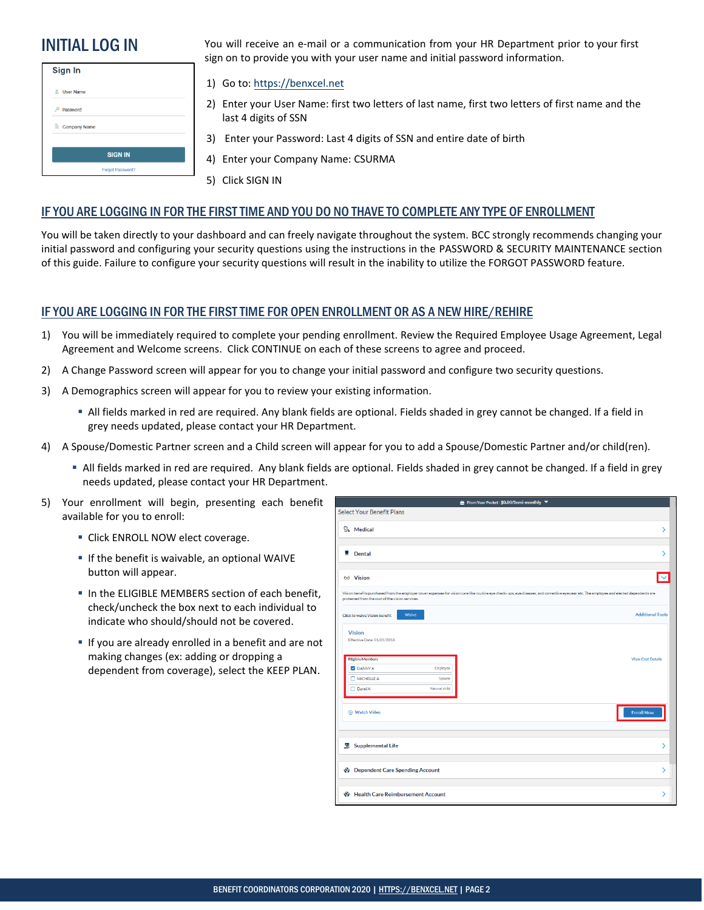| Sign In             |
|---------------------|
| <b>L</b> User Name  |
| Password            |
| <b>Company Name</b> |
| <b>SIGN IN</b>      |
| Forgot Password?    |

**INITIAL LOG IN** You will receive an e-mail or a communication from your HR Department prior to your first sign on to provide you with your user name and initial password information.

#### 1) Go to: https://benxcel.net

- 2) Enter [your User Name](https://benxcel.net/): first two letters of last name, first two letters of first name and the last 4 digits of SSN
- 3) Enter your Password: Last 4 digits of SSN and entire date of birth
- 4) Enter your Company Name: CSURMA
- 5) Click SIGN IN

#### IF YOU ARE LOGGING IN FOR THE FIRST TIME AND YOU DO NO THAVE TO COMPLETE ANY TYPE OF ENROLLMENT

You will be taken directly to your dashboard and can freely navigate throughout the system. BCC strongly recommends changing your initial password and configuring your security questions using the instructions in the PASSWORD & SECURITY MAINTENANCE section of this guide. Failure to configure your security questions will result in the inability to utilize the FORGOT PASSWORD feature.

#### IF YOU ARE LOGGING IN FOR THE FIRST TIME FOR OPEN ENROLLMENT OR AS A NEW HIRE/REHIRE

- 1) You will be immediately required to complete your pending enrollment. Review the Required Employee Usage Agreement, Legal Agreement and Welcome screens. Click CONTINUE on each of these screens to agree and proceed.
- 2) A Change Password screen will appear for you to change your initial password and configure two security questions.
- 3) A Demographics screen will appear for you to review your existing information.
	- All fields marked in red are required. Any blank fields are optional. Fields shaded in grey cannot be changed. If a field in grey needs updated, please contact your HR Department.
- 4) A Spouse/Domestic Partner screen and a Child screen will appear for you to add a Spouse/Domestic Partner and/or child(ren).
	- All fields marked in red are required. Any blank fields are optional. Fields shaded in grey cannot be changed. If a field in grey needs updated, please contact your HR Department.
- 5) Your enrollment will begin, presenting each benefit available for you to enroll:
	- **-** Click ENROLL NOW elect coverage.
	- **If the benefit is waivable, an optional WAIVE** button will appear.
	- **IF In the ELIGIBLE MEMBERS section of each benefit,** check/uncheck the box next to each individual to indicate who should/should not be covered.
	- **If you are already enrolled in a benefit and are not** making changes (ex: adding or dropping a dependent from coverage), select the KEEP PLAN.

|   |                                                                                                                                                         | <b>for</b> From Your Pocket: \$0.00/Semi-monthly ▼                                                                                                                                        |
|---|---------------------------------------------------------------------------------------------------------------------------------------------------------|-------------------------------------------------------------------------------------------------------------------------------------------------------------------------------------------|
|   | <b>Select Your Benefit Plans</b>                                                                                                                        |                                                                                                                                                                                           |
|   | <b>P<sub>2</sub></b> Medical                                                                                                                            | ⋋                                                                                                                                                                                         |
| Ħ | Dental                                                                                                                                                  | ⋟                                                                                                                                                                                         |
|   | 66 Vision                                                                                                                                               | $\overline{\mathbf{v}}$                                                                                                                                                                   |
|   | protected from the cost of the vision services.                                                                                                         | Vision benefits purchased from the employer cover expenses for vision care like routine eye check- ups, eye diseases, and corrective eyewear etc. The employee and elected dependents are |
|   | Waive<br><b>Click to waive Vision benefit</b>                                                                                                           | <b>Additional Tools</b>                                                                                                                                                                   |
|   | <b>Vision</b><br>Effective Date: 01/01/2018<br><b>Eligible Members</b><br><b>DANNYA</b><br>Employee<br>MICHELLE A<br>Spouse<br>Danni A<br>Natural child | <b>View Cost Details</b>                                                                                                                                                                  |
|   | (b) Watch Video                                                                                                                                         | <b>Enroll Now</b>                                                                                                                                                                         |
|   | <b>签</b> Supplemental Life                                                                                                                              | ⋟                                                                                                                                                                                         |
|   | Dependent Care Spending Account                                                                                                                         | ⋋                                                                                                                                                                                         |
|   | Health Care Reimbursement Account                                                                                                                       | ⋟                                                                                                                                                                                         |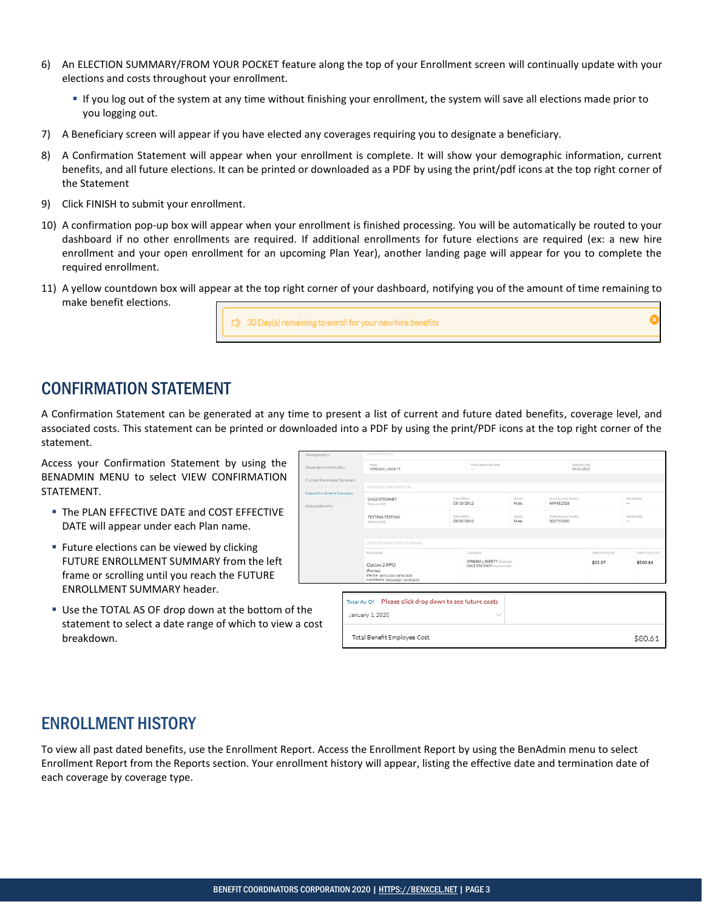- 6) An ELECTION SUMMARY/FROM YOUR POCKET feature along the top of your Enrollment screen will continually update with your elections and costs throughout your enrollment.
	- If you log out of the system at any time without finishing your enrollment, the system will save all elections made prior to you logging out.
- 7) A Beneficiary screen will appear if you have elected any coverages requiring you to designate a beneficiary.
- 8) A Confirmation Statement will appear when your enrollment is complete. It will show your demographic information, current benefits, and all future elections. It can be printed or downloaded as a PDF by using the print/pdf icons at the top right corner of the Statement
- 9) Click FINISH to submit your enrollment.
- 10) A confirmation pop-up box will appear when your enrollment is finished processing. You will be automatically be routed to your dashboard if no other enrollments are required. If additional enrollments for future elections are required (ex: a new hire enrollment and your open enrollment for an upcoming Plan Year), another landing page will appear for you to complete the required enrollment.
- 11) A yellow countdown box will appear at the top right corner of your dashboard, notifying you of the amount of time remaining to make benefit elections.

(1) 30 Day(s) remaining to enroll for your new hire benefits

### CONFIRMATION STATEMENT

A Confirmation Statement can be generated at any time to present a list of current and future dated benefits, coverage level, and associated costs. This statement can be printed or downloaded into a PDF by using the print/PDF icons at the top right corner of the statement.

Access your Confirmation Statement by using the BENADMIN MENU to select VIEW CONFIRMATION STATEMENT.

- The PLAN EFFECTIVE DATE and COST EFFECTIVE DATE will appear under each Plan name.
- **Future elections can be viewed by clicking** FUTURE ENROLLMENT SUMMARY from the left frame or scrolling until you reach the FUTURE ENROLLMENT SUMMARY header.
- Use the TOTAL AS OF drop down at the bottom of the statement to select a date range of which to view a c breakdown.

| <b>Jemographics</b>               | LIEMCA HAPPIICS                                                                                        |                             |                                                                     |                |                                     |                              |                          |               |
|-----------------------------------|--------------------------------------------------------------------------------------------------------|-----------------------------|---------------------------------------------------------------------|----------------|-------------------------------------|------------------------------|--------------------------|---------------|
| Dependent Information             | Name.<br>VANESSA LAUDETT                                                                               |                             | Most Recent Hire Date<br>$\cdots$                                   |                |                                     | Effective Date<br>04/01/2017 |                          |               |
| <b>Current Enrollment Summary</b> |                                                                                                        |                             |                                                                     |                |                                     |                              |                          |               |
|                                   | DEPENDENT INFORMATION.                                                                                 |                             |                                                                     |                |                                     |                              |                          |               |
| uture Enrollment Summary          | <b>GAGE STICKNEY</b>                                                                                   | Date of Birth               |                                                                     | Gender         | Social Security Number              |                              | Marital Dute             |               |
| <b>Nalved Renefits</b>            | (Natural child)                                                                                        | 05/18/2012                  |                                                                     | Male           | 699452326                           |                              | $-$                      |               |
|                                   | <b>TESTING TESTING</b><br>Pestural child)                                                              | Date of Birth<br>08/28/2019 |                                                                     | Gender<br>Male | Social Security Number<br>000710000 |                              | Marital Date<br>$\cdots$ |               |
|                                   | CURRENT ENROLLMENT SUMMARY                                                                             |                             |                                                                     |                |                                     |                              |                          |               |
|                                   | PLAN NAME                                                                                              |                             | COVERAGE                                                            |                |                                     | EMPLOYEE COST                |                          | EMPLOYER COST |
|                                   | Option 2 PPO<br>(Pre-tax)<br>Effective 04/01/2017-09/30/2019<br>Cost Effective 01/01/2019 - 09/30/2019 |                             | VANESSA L AUDETT (Employee)<br><b>GAGE STICKNEY</b> (Natural child) |                |                                     | \$55.57                      |                          | \$500.14      |

## ENROLLMENT HISTORY

To view all past dated benefits, use the Enrollment Report. Access the Enrollment Report by using the BenAdmin menu to select Enrollment Report from the Reports section. Your enrollment history will appear, listing the effective date and termination date of each coverage by coverage type.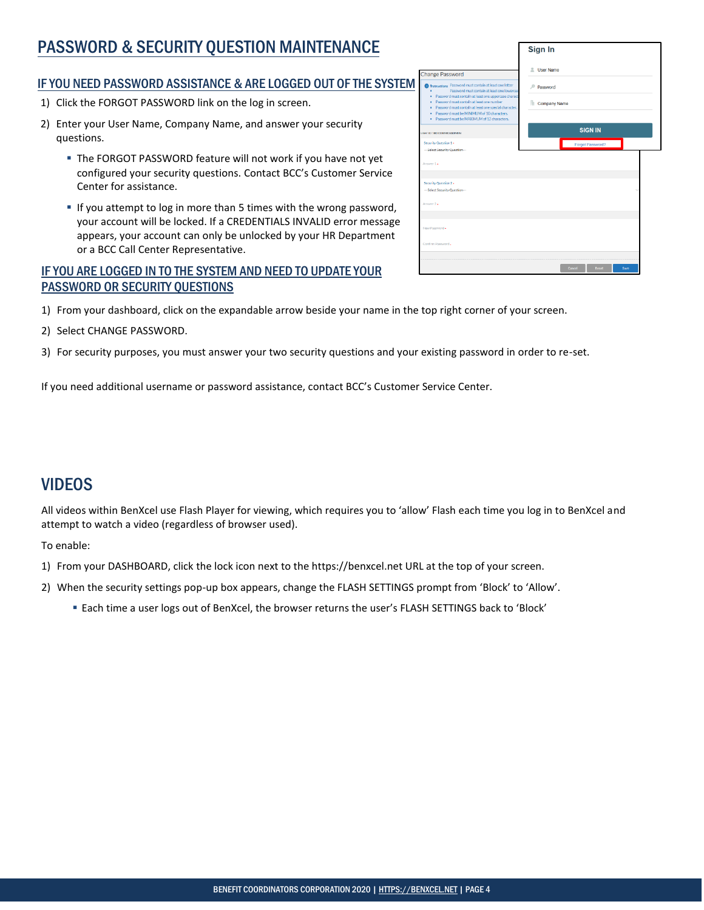## PASSWORD & SECURITY QUESTION MAINTENANCE

#### IF YOU NEED PASSWORD ASSISTANCE & ARE LOGGED OUT OF THE SYSTEM

- 1) Click the FORGOT PASSWORD link on the log in screen.
- 2) Enter your User Name, Company Name, and answer your security questions.
	- The FORGOT PASSWORD feature will not work if you have not yet configured your security questions. Contact BCC's Customer Service Center for assistance.
	- If you attempt to log in more than 5 times with the wrong password, your account will be locked. If a CREDENTIALS INVALID error message appears, your account can only be unlocked by your HR Department or a BCC Call Center Representative.

#### IF YOU ARE LOGGED IN TO THE SYSTEM AND NEED TO UPDATE YOUR PASSWORD OR SECURITY QUESTIONS

| <b>Change Password</b>                                                                                                                                                                                        | L User Name         |
|---------------------------------------------------------------------------------------------------------------------------------------------------------------------------------------------------------------|---------------------|
| <b>f</b> hstructions Password must contain at least one letter<br>Password must contain at least one lowercase<br>Password must contain at least one uppercase charact<br>٠                                   | Password<br>D       |
| Password must contain at least one number<br>٠<br>Password must contain at least one special character.<br>٠<br>Password must be MINIMUM of 10 characters.<br>٠<br>Password must be MAXIMUM of 12 characters. | <b>Company Name</b> |
| User ID: BCCDEMOADMIN                                                                                                                                                                                         | <b>SIGN IN</b>      |
| Security Question 1 .<br>--- Select Security Question---                                                                                                                                                      | Forgot Password?    |
| Answer 1.                                                                                                                                                                                                     |                     |
| Security Question 2 »<br>--- Select Security Question---                                                                                                                                                      |                     |
| Annunc 2.                                                                                                                                                                                                     |                     |
| New Password .                                                                                                                                                                                                |                     |
|                                                                                                                                                                                                               |                     |

Cancel Reset Sav

- 1) From your dashboard, click on the expandable arrow beside your name in the top right corner of your screen.
- 2) Select CHANGE PASSWORD.
- 3) For security purposes, you must answer your two security questions and your existing password in order to re-set.

If you need additional username or password assistance, contact BCC's Customer Service Center.

## VIDEOS

All videos within BenXcel use Flash Player for viewing, which requires you to 'allow' Flash each time you log in to BenXcel and attempt to watch a video (regardless of browser used).

To enable:

- 1) From your DASHBOARD, click the lock icon next to the https://benxcel.net URL at the top of your screen.
- 2) When the security settings pop-up box appears, change the FLASH SETTINGS prompt from 'Block' to 'Allow'.
	- Each time a user logs out of BenXcel, the browser returns the user's FLASH SETTINGS back to 'Block'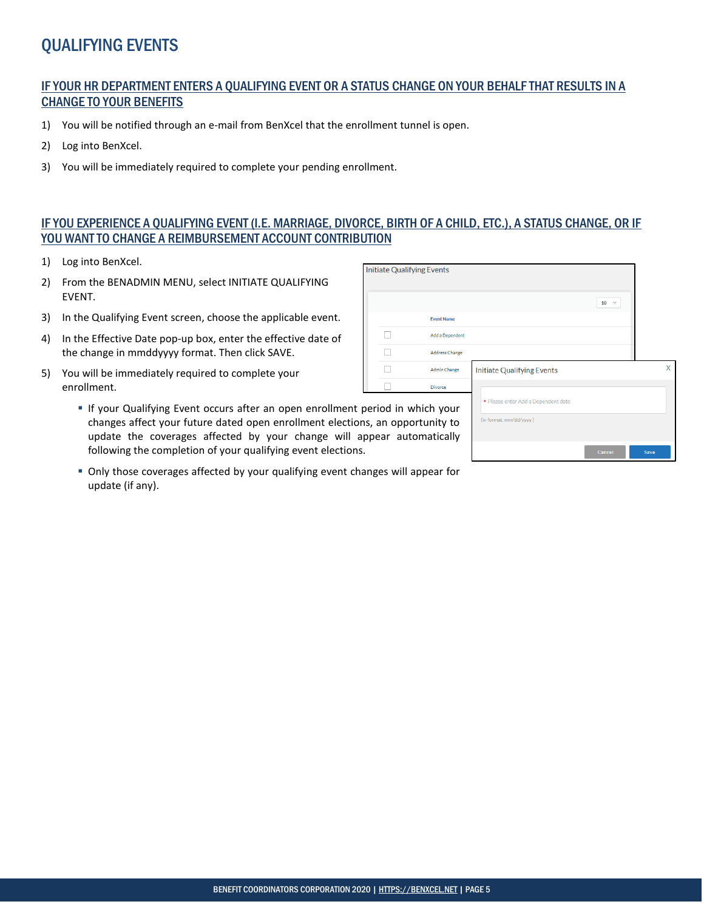## QUALIFYING EVENTS

#### IF YOUR HR DEPARTMENT ENTERS A QUALIFYING EVENT OR A STATUS CHANGE ON YOUR BEHALF THAT RESULTS IN A CHANGE TO YOUR BENEFITS

- 1) You will be notified through an e-mail from BenXcel that the enrollment tunnel is open.
- 2) Log into BenXcel.
- 3) You will be immediately required to complete your pending enrollment.

#### IF YOU EXPERIENCE A QUALIFYING EVENT (I.E. MARRIAGE, DIVORCE, BIRTH OF A CHILD, ETC.), A STATUS CHANGE, OR IF YOU WANT TO CHANGE A REIMBURSEMENT ACCOUNT CONTRIBUTION

 $\overline{1}$ r

- 1) Log into BenXcel.
- 2) From the BENADMIN MENU, select INITIATE QUALIFYING EVENT.
- 3) In the Qualifying Event screen, choose the applicable event.
- 4) In the Effective Date pop-up box, enter the effective date of the change in mmddyyyy format. Then click SAVE.
- 5) You will be immediately required to complete your enrollment.
	- If your Qualifying Event occurs after an open enrollment period changes affect your future dated open enrollment elections, update the coverages affected by your change will app following the completion of your qualifying event elections.
	- Only those coverages affected by your qualifying event changes will appear for update (if any).

| itiate Qualifying Events                |                       |                                                                |                    |      |
|-----------------------------------------|-----------------------|----------------------------------------------------------------|--------------------|------|
|                                         |                       |                                                                | 10<br>$\checkmark$ |      |
|                                         | <b>Event Name</b>     |                                                                |                    |      |
|                                         | Add a Dependent       |                                                                |                    |      |
|                                         | <b>Address Change</b> |                                                                |                    |      |
|                                         | <b>Admin Change</b>   | <b>Initiate Qualifying Events</b>                              |                    | X    |
| riod in which your<br>an opportunity to | <b>Divorce</b>        | * Please enter Add a Dependent date<br>(in format, mm/dd/yyyy) |                    |      |
| bear automatically                      |                       |                                                                | Cancel             | Save |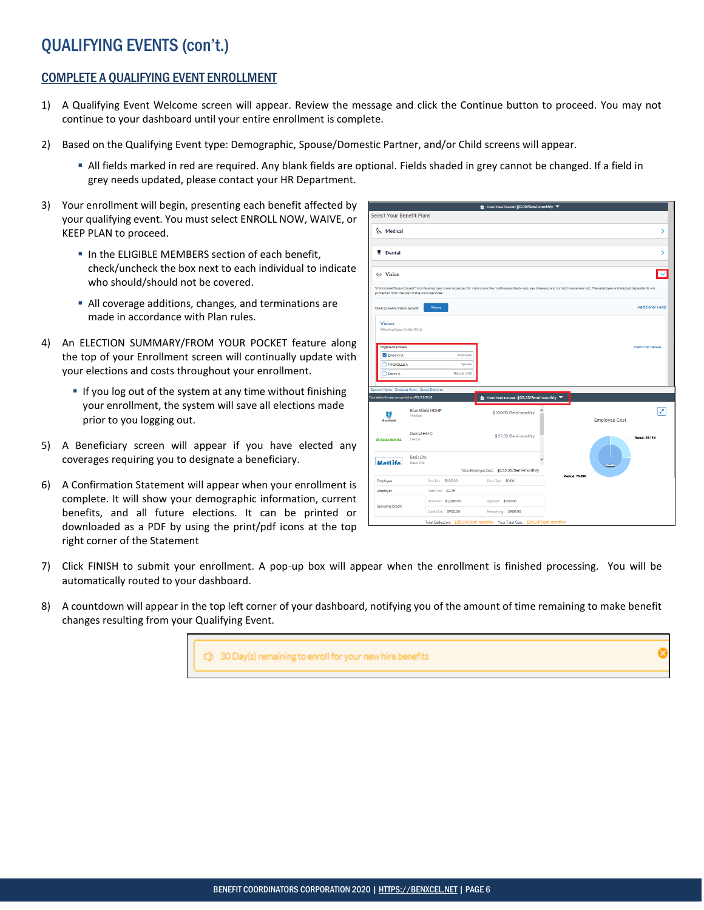## QUALIFYING EVENTS (con't.)

#### COMPLETE A QUALIFYING EVENT ENROLLMENT

- 1) A Qualifying Event Welcome screen will appear. Review the message and click the Continue button to proceed. You may not continue to your dashboard until your entire enrollment is complete.
- 2) Based on the Qualifying Event type: Demographic, Spouse/Domestic Partner, and/or Child screens will appear.
	- All fields marked in red are required. Any blank fields are optional. Fields shaded in grey cannot be changed. If a field in grey needs updated, please contact your HR Department.
- 3) Your enrollment will begin, presenting each benefit affected by your qualifying event. You must select ENROLL NOW, WAIVE, or KEEP PLAN to proceed.
	- **IF In the ELIGIBLE MEMBERS section of each benefit,** check/uncheck the box next to each individual to indicate who should/should not be covered.
	- All coverage additions, changes, and terminations are made in accordance with Plan rules.
- 4) An ELECTION SUMMARY/FROM YOUR POCKET feature along the top of your Enrollment screen will continually update with your elections and costs throughout your enrollment.
	- **If you log out of the system at any time without finishing** your enrollment, the system will save all elections made prior to you logging out.
- 5) A Beneficiary screen will appear if you have elected any coverages requiring you to designate a beneficiary.
- 6) A Confirmation Statement will appear when your enrollment is complete. It will show your demographic information, current benefits, and all future elections. It can be printed or downloaded as a PDF by using the print/pdf icons at the top right corner of the Statement

|                                                 |                                        | the From Your Pocket: \$0.00/Semi-monthly                                   |                                                                                                                                                                                           |                          |
|-------------------------------------------------|----------------------------------------|-----------------------------------------------------------------------------|-------------------------------------------------------------------------------------------------------------------------------------------------------------------------------------------|--------------------------|
| <b>Select Your Benefit Plans</b>                |                                        |                                                                             |                                                                                                                                                                                           |                          |
| <b>P<sub>o</sub></b> Medical                    |                                        |                                                                             |                                                                                                                                                                                           | ⋗                        |
|                                                 |                                        |                                                                             |                                                                                                                                                                                           |                          |
| w<br><b>Dental</b>                              |                                        |                                                                             |                                                                                                                                                                                           | ⋋                        |
|                                                 |                                        |                                                                             |                                                                                                                                                                                           |                          |
| 66 Vision                                       |                                        |                                                                             |                                                                                                                                                                                           |                          |
| protected from the cost of the vision services. |                                        |                                                                             | Vision benefits purchased from the employer cover expenses for vision care like routine eye check- ups, eye diseases, and corrective eyewear etc. The employee and elected dependents are |                          |
| <b>Click to waive Vision benefit</b>            | Waive                                  |                                                                             |                                                                                                                                                                                           | <b>Additional Tools</b>  |
| <b>Vision</b><br>Effective Date: 01/01/2018     |                                        |                                                                             |                                                                                                                                                                                           |                          |
| <b>Eligible Members</b>                         |                                        |                                                                             |                                                                                                                                                                                           | <b>View Cost Details</b> |
| <b>Z</b> DANNY A                                | Employee                               |                                                                             |                                                                                                                                                                                           |                          |
| MICHELLE A                                      | Spouse                                 |                                                                             |                                                                                                                                                                                           |                          |
| Danni A                                         | Natural child                          |                                                                             |                                                                                                                                                                                           |                          |
| Company Home > Employee Home > Search Employee  |                                        |                                                                             |                                                                                                                                                                                           |                          |
| Your deduction per pay period as of 01/01/2018  |                                        | <b>the From Your Pocket: \$35.33/Semi-monthly</b>                           |                                                                                                                                                                                           |                          |
| Œ<br><b>BlueShield</b>                          | <b>Blue Shield HDHP</b><br>Medical     | \$100.00/Semi-monthly                                                       | <b>Employee Cost</b>                                                                                                                                                                      | z                        |
| <b>A DELTA DENTAL</b>                           | Dental HMO<br>Dental                   | \$35.33/Semi-monthly                                                        |                                                                                                                                                                                           | <b>Dental: 26.11%</b>    |
| Metl ife                                        | <b>Basic Life</b><br><b>Basic Life</b> |                                                                             |                                                                                                                                                                                           |                          |
|                                                 |                                        | Total Employee Cost: \$135.33/Semi-monthly                                  | <b>Medical: 72.89%</b>                                                                                                                                                                    |                          |
| Employee                                        | Pre-Tax: \$135.33                      | Post-Tax: \$0.00                                                            |                                                                                                                                                                                           |                          |
| Employer                                        | Post-Tax: \$2.75                       |                                                                             |                                                                                                                                                                                           |                          |
| <b>Spending Credit</b>                          | Allotted: \$1,000.00                   | Applied: \$100.00                                                           |                                                                                                                                                                                           |                          |
|                                                 | Cash Out: \$900.00                     | Remaining: \$900.00                                                         |                                                                                                                                                                                           |                          |
|                                                 |                                        | Total Deduction: \$35.33/Semi-monthly Your Total Cost: \$35.33/Semi-monthly |                                                                                                                                                                                           |                          |

- 7) Click FINISH to submit your enrollment. A pop-up box will appear when the enrollment is finished processing. You will be automatically routed to your dashboard.
- 8) A countdown will appear in the top left corner of your dashboard, notifying you of the amount of time remaining to make benefit changes resulting from your Qualifying Event.

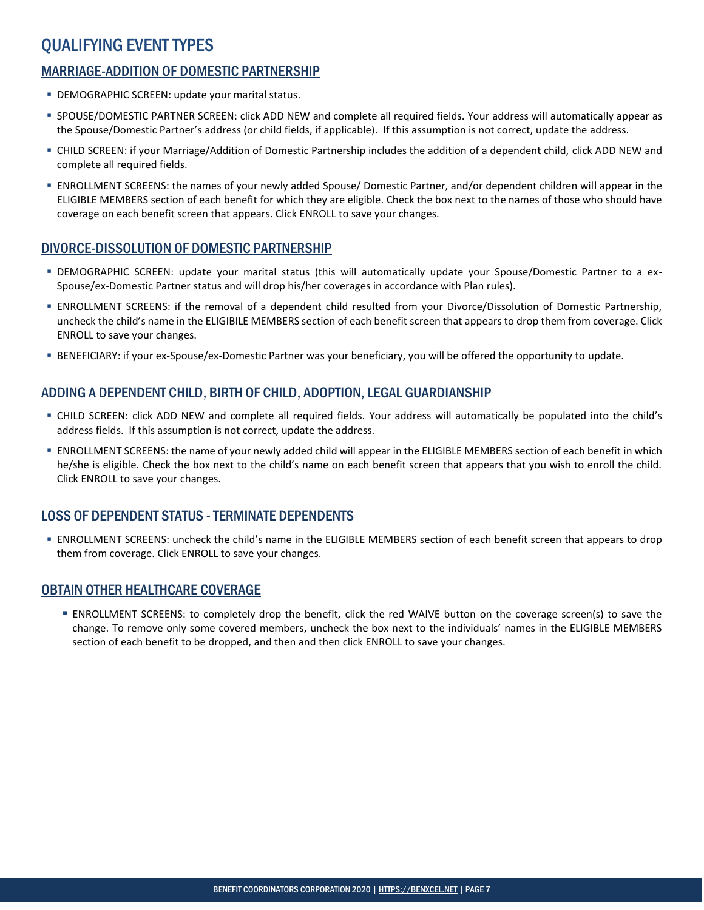## QUALIFYING EVENT TYPES

## MARRIAGE-ADDITION OF DOMESTIC PARTNERSHIP

- DEMOGRAPHIC SCREEN: update your marital status.
- SPOUSE/DOMESTIC PARTNER SCREEN: click ADD NEW and complete all required fields. Your address will automatically appear as the Spouse/Domestic Partner's address (or child fields, if applicable). If this assumption is not correct, update the address.
- CHILD SCREEN: if your Marriage/Addition of Domestic Partnership includes the addition of a dependent child, click ADD NEW and complete all required fields.
- ENROLLMENT SCREENS: the names of your newly added Spouse/ Domestic Partner, and/or dependent children will appear in the ELIGIBLE MEMBERS section of each benefit for which they are eligible. Check the box next to the names of those who should have coverage on each benefit screen that appears. Click ENROLL to save your changes.

#### DIVORCE-DISSOLUTION OF DOMESTIC PARTNERSHIP

- DEMOGRAPHIC SCREEN: update your marital status (this will automatically update your Spouse/Domestic Partner to a ex-Spouse/ex-Domestic Partner status and will drop his/her coverages in accordance with Plan rules).
- ENROLLMENT SCREENS: if the removal of a dependent child resulted from your Divorce/Dissolution of Domestic Partnership, uncheck the child's name in the ELIGIBILE MEMBERS section of each benefit screen that appears to drop them from coverage. Click ENROLL to save your changes.
- BENEFICIARY: if your ex-Spouse/ex-Domestic Partner was your beneficiary, you will be offered the opportunity to update.

#### ADDING A DEPENDENT CHILD, BIRTH OF CHILD, ADOPTION, LEGAL GUARDIANSHIP

- CHILD SCREEN: click ADD NEW and complete all required fields. Your address will automatically be populated into the child's address fields. If this assumption is not correct, update the address.
- ENROLLMENT SCREENS: the name of your newly added child will appear in the ELIGIBLE MEMBERS section of each benefit in which he/she is eligible. Check the box next to the child's name on each benefit screen that appears that you wish to enroll the child. Click ENROLL to save your changes.

#### LOSS OF DEPENDENT STATUS -TERMINATE DEPENDENTS

 ENROLLMENT SCREENS: uncheck the child's name in the ELIGIBLE MEMBERS section of each benefit screen that appears to drop them from coverage. Click ENROLL to save your changes.

#### OBTAIN OTHER HEALTHCARE COVERAGE

 ENROLLMENT SCREENS: to completely drop the benefit, click the red WAIVE button on the coverage screen(s) to save the change. To remove only some covered members, uncheck the box next to the individuals' names in the ELIGIBLE MEMBERS section of each benefit to be dropped, and then and then click ENROLL to save your changes.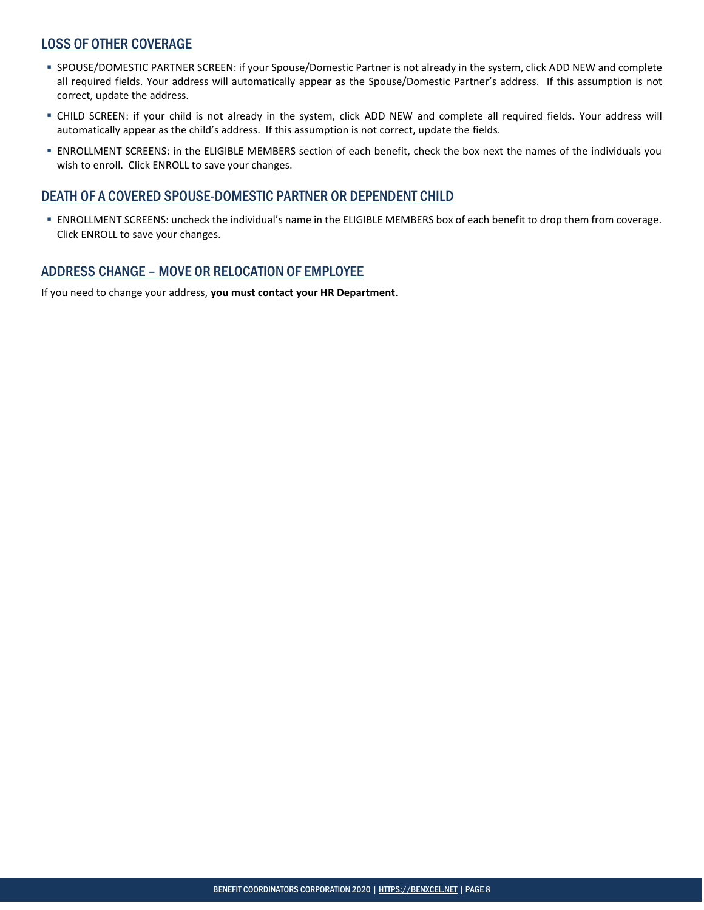#### LOSS OF OTHER COVERAGE

- SPOUSE/DOMESTIC PARTNER SCREEN: if your Spouse/Domestic Partner is not already in the system, click ADD NEW and complete all required fields. Your address will automatically appear as the Spouse/Domestic Partner's address. If this assumption is not correct, update the address.
- CHILD SCREEN: if your child is not already in the system, click ADD NEW and complete all required fields. Your address will automatically appear as the child's address. If this assumption is not correct, update the fields.
- ENROLLMENT SCREENS: in the ELIGIBLE MEMBERS section of each benefit, check the box next the names of the individuals you wish to enroll. Click ENROLL to save your changes.

#### DEATH OF A COVERED SPOUSE-DOMESTIC PARTNER OR DEPENDENT CHILD

 ENROLLMENT SCREENS: uncheck the individual's name in the ELIGIBLE MEMBERS box of each benefit to drop them from coverage. Click ENROLL to save your changes.

#### ADDRESS CHANGE – MOVE OR RELOCATION OF EMPLOYEE

If you need to change your address, **you must contact your HR Department**.